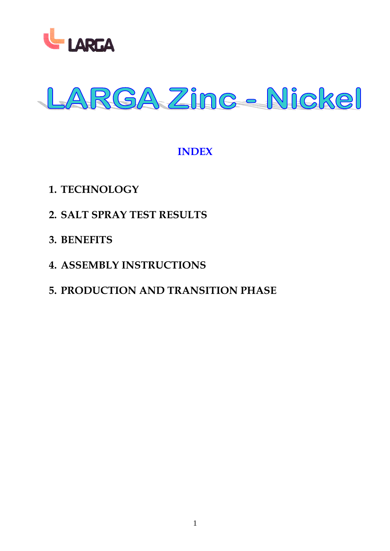



## **INDEX**

- **1. TECHNOLOGY**
- **2. SALT SPRAY TEST RESULTS**
- **3. BENEFITS**
- **4. ASSEMBLY INSTRUCTIONS**

# **5. PRODUCTION AND TRANSITION PHASE**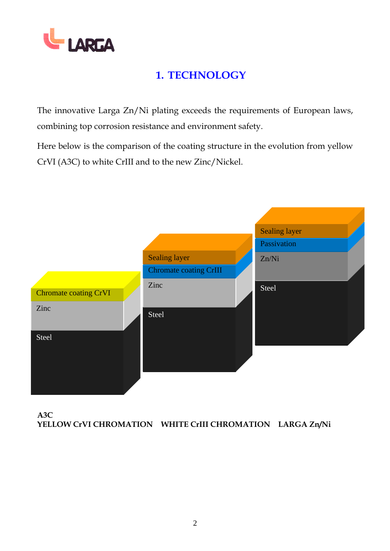

# **1. TECHNOLOGY**

The innovative Larga Zn/Ni plating exceeds the requirements of European laws, combining top corrosion resistance and environment safety.

Here below is the comparison of the coating structure in the evolution from yellow CrVI (A3C) to white CrIII and to the new Zinc/Nickel.



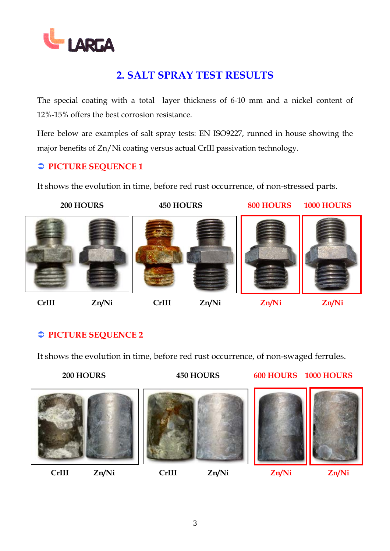

# **2. SALT SPRAY TEST RESULTS**

The special coating with a total layer thickness of 6-10 mm and a nickel content of 12%-15% offers the best corrosion resistance.

Here below are examples of salt spray tests: EN ISO9227, runned in house showing the major benefits of Zn/Ni coating versus actual CrIII passivation technology.

### $\supset$  **PICTURE SEQUENCE 1**

It shows the evolution in time, before red rust occurrence, of non-stressed parts.

 **200 HOURS 450 HOURS 800 HOURS 1000 HOURS**







**CrIII Zn/Ni CrIII Zn/Ni Zn/Ni Zn/Ni**

# Â **PICTURE SEQUENCE 2**

It shows the evolution in time, before red rust occurrence, of non-swaged ferrules.

 **200 HOURS 450 HOURS 600 HOURS 1000 HOURS**

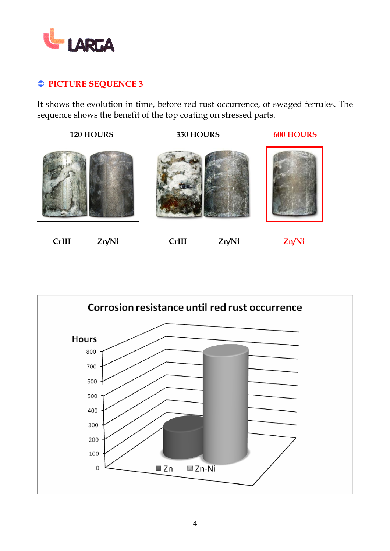

### Â **PICTURE SEQUENCE 3**

It shows the evolution in time, before red rust occurrence, of swaged ferrules. The sequence shows the benefit of the top coating on stressed parts.

 **120 HOURS 350 HOURS 600 HOURS** 







 **CrIII Zn/Ni CrIII Zn/Ni Zn/Ni** 



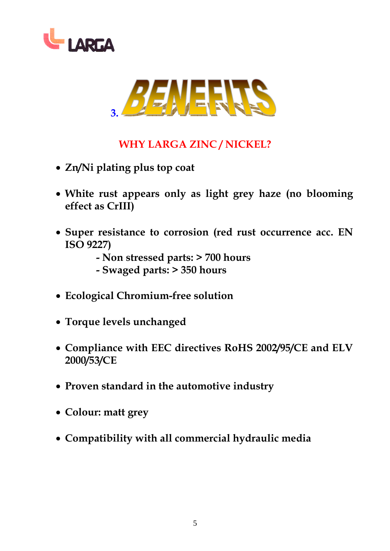



# **WHY LARGA ZINC / NICKEL?**

- **Zn/Ni plating plus top coat**
- **White rust appears only as light grey haze (no blooming effect as CrIII)**
- **Super resistance to corrosion (red rust occurrence acc. EN ISO 9227)** 
	- **Non stressed parts: > 700 hours**
	- **Swaged parts: > 350 hours**
- **Ecological Chromium-free solution**
- **Torque levels unchanged**
- **Compliance with EEC directives RoHS 2002/95/CE and ELV 2000/53/CE**
- **Proven standard in the automotive industry**
- **Colour: matt grey**
- **Compatibility with all commercial hydraulic media**